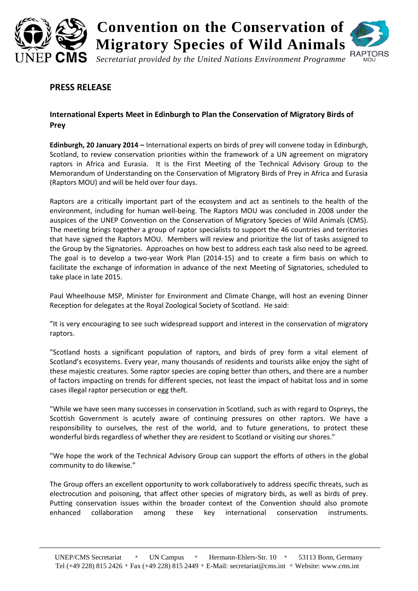

## **PRESS RELEASE**

## **International Experts Meet in Edinburgh to Plan the Conservation of Migratory Birds of Prey**

**Edinburgh, 20 January 2014 –** International experts on birds of prey will convene today in Edinburgh, Scotland, to review conservation priorities within the framework of a UN agreement on migratory raptors in Africa and Eurasia. It is the First Meeting of the Technical Advisory Group to the Memorandum of Understanding on the Conservation of Migratory Birds of Prey in Africa and Eurasia (Raptors MOU) and will be held over four days.

Raptors are a critically important part of the ecosystem and act as sentinels to the health of the environment, including for human well-being. The Raptors MOU was concluded in 2008 under the auspices of the UNEP Convention on the Conservation of Migratory Species of Wild Animals (CMS). The meeting brings together a group of raptor specialists to support the 46 countries and territories that have signed the Raptors MOU. Members will review and prioritize the list of tasks assigned to the Group by the Signatories. Approaches on how best to address each task also need to be agreed. The goal is to develop a two-year Work Plan (2014-15) and to create a firm basis on which to facilitate the exchange of information in advance of the next Meeting of Signatories, scheduled to take place in late 2015.

Paul Wheelhouse MSP, Minister for Environment and Climate Change, will host an evening Dinner Reception for delegates at the Royal Zoological Society of Scotland. He said:

"It is very encouraging to see such widespread support and interest in the conservation of migratory raptors.

"Scotland hosts a significant population of raptors, and birds of prey form a vital element of Scotland's ecosystems. Every year, many thousands of residents and tourists alike enjoy the sight of these majestic creatures. Some raptor species are coping better than others, and there are a number of factors impacting on trends for different species, not least the impact of habitat loss and in some cases illegal raptor persecution or egg theft.

"While we have seen many successes in conservation in Scotland, such as with regard to Ospreys, the Scottish Government is acutely aware of continuing pressures on other raptors. We have a responsibility to ourselves, the rest of the world, and to future generations, to protect these wonderful birds regardless of whether they are resident to Scotland or visiting our shores."

"We hope the work of the Technical Advisory Group can support the efforts of others in the global community to do likewise."

The Group offers an excellent opportunity to work collaboratively to address specific threats, such as electrocution and poisoning, that affect other species of migratory birds, as well as birds of prey. Putting conservation issues within the broader context of the Convention should also promote enhanced collaboration among these key international conservation instruments.

\_\_\_\_\_\_\_\_\_\_\_\_\_\_\_\_\_\_\_\_\_\_\_\_\_\_\_\_\_\_\_\_\_\_\_\_\_\_\_\_\_\_\_\_\_\_\_\_\_\_\_\_\_\_\_\_\_\_\_\_\_\_\_\_\_\_\_\_\_\_\_\_\_\_\_\_\_\_\_\_\_